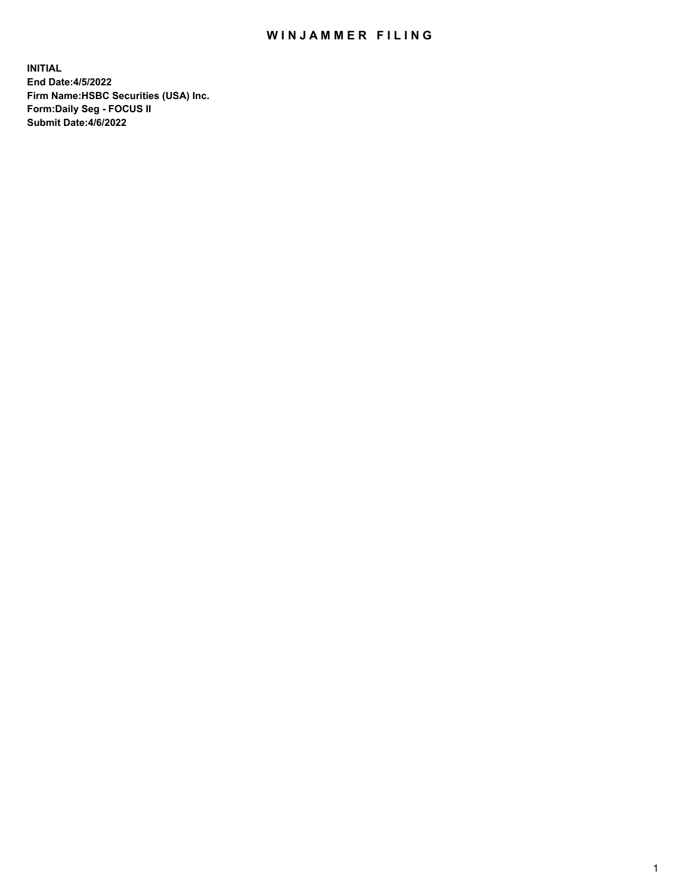## WIN JAMMER FILING

**INITIAL End Date:4/5/2022 Firm Name:HSBC Securities (USA) Inc. Form:Daily Seg - FOCUS II Submit Date:4/6/2022**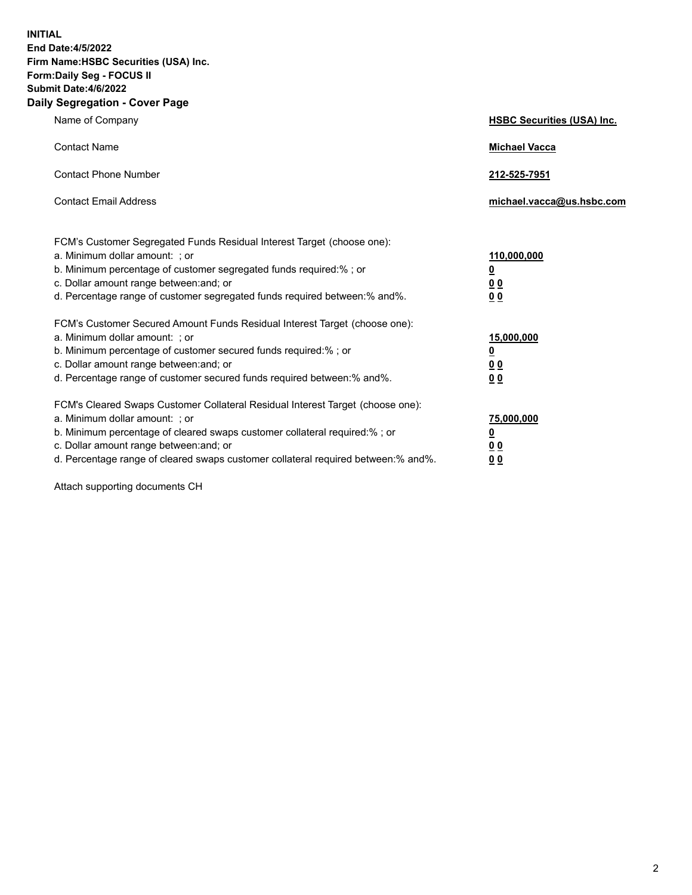**INITIAL End Date:4/5/2022 Firm Name:HSBC Securities (USA) Inc. Form:Daily Seg - FOCUS II Submit Date:4/6/2022 Daily Segregation - Cover Page**

| Name of Company                                                                                                                                                                                                                                                                                                                | <b>HSBC Securities (USA) Inc.</b>                          |
|--------------------------------------------------------------------------------------------------------------------------------------------------------------------------------------------------------------------------------------------------------------------------------------------------------------------------------|------------------------------------------------------------|
| <b>Contact Name</b>                                                                                                                                                                                                                                                                                                            | <b>Michael Vacca</b>                                       |
| <b>Contact Phone Number</b>                                                                                                                                                                                                                                                                                                    | 212-525-7951                                               |
| <b>Contact Email Address</b>                                                                                                                                                                                                                                                                                                   | michael.vacca@us.hsbc.com                                  |
| FCM's Customer Segregated Funds Residual Interest Target (choose one):<br>a. Minimum dollar amount: ; or<br>b. Minimum percentage of customer segregated funds required:% ; or<br>c. Dollar amount range between: and; or<br>d. Percentage range of customer segregated funds required between:% and%.                         | 110,000,000<br><u>0</u><br>0 <sub>0</sub><br>00            |
| FCM's Customer Secured Amount Funds Residual Interest Target (choose one):<br>a. Minimum dollar amount: ; or<br>b. Minimum percentage of customer secured funds required:%; or<br>c. Dollar amount range between: and; or<br>d. Percentage range of customer secured funds required between:% and%.                            | 15,000,000<br><u>0</u><br>0 <sub>0</sub><br>0 <sub>0</sub> |
| FCM's Cleared Swaps Customer Collateral Residual Interest Target (choose one):<br>a. Minimum dollar amount: ; or<br>b. Minimum percentage of cleared swaps customer collateral required:% ; or<br>c. Dollar amount range between: and; or<br>d. Percentage range of cleared swaps customer collateral required between:% and%. | 75,000,000<br><u>0</u><br><u>00</u><br>00                  |

Attach supporting documents CH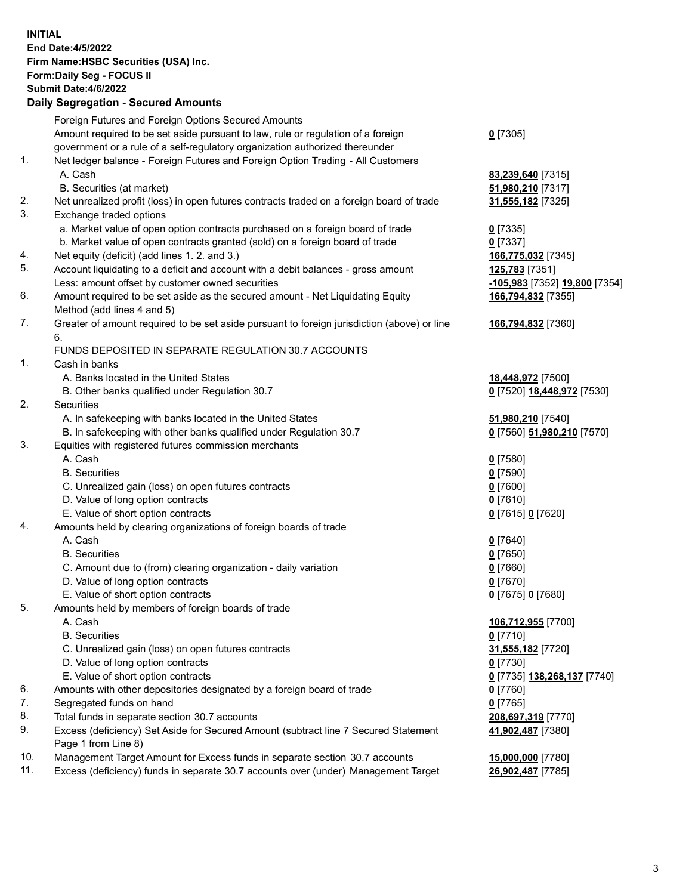**INITIAL End Date:4/5/2022 Firm Name:HSBC Securities (USA) Inc. Form:Daily Seg - FOCUS II Submit Date:4/6/2022 Daily Segregation - Secured Amounts** Foreign Futures and Foreign Options Secured Amounts Amount required to be set aside pursuant to law, rule or regulation of a foreign government or a rule of a self-regulatory organization authorized thereunder **0** [7305] 1. Net ledger balance - Foreign Futures and Foreign Option Trading - All Customers A. Cash **83,239,640** [7315] B. Securities (at market) **51,980,210** [7317] 2. Net unrealized profit (loss) in open futures contracts traded on a foreign board of trade **31,555,182** [7325] 3. Exchange traded options a. Market value of open option contracts purchased on a foreign board of trade **0** [7335] b. Market value of open contracts granted (sold) on a foreign board of trade **0** [7337] 4. Net equity (deficit) (add lines 1. 2. and 3.) **166,775,032** [7345] 5. Account liquidating to a deficit and account with a debit balances - gross amount **125,783** [7351] Less: amount offset by customer owned securities **-105,983** [7352] **19,800** [7354] 6. Amount required to be set aside as the secured amount - Net Liquidating Equity Method (add lines 4 and 5) **166,794,832** [7355] 7. Greater of amount required to be set aside pursuant to foreign jurisdiction (above) or line 6. **166,794,832** [7360] FUNDS DEPOSITED IN SEPARATE REGULATION 30.7 ACCOUNTS 1. Cash in banks A. Banks located in the United States **18,448,972** [7500] B. Other banks qualified under Regulation 30.7 **0** [7520] **18,448,972** [7530] 2. Securities A. In safekeeping with banks located in the United States **51,980,210** [7540] B. In safekeeping with other banks qualified under Regulation 30.7 **0** [7560] **51,980,210** [7570] 3. Equities with registered futures commission merchants A. Cash **0** [7580] B. Securities **0** [7590] C. Unrealized gain (loss) on open futures contracts **0** [7600] D. Value of long option contracts **0** [7610] E. Value of short option contracts **0** [7615] **0** [7620] 4. Amounts held by clearing organizations of foreign boards of trade A. Cash **0** [7640] B. Securities **0** [7650] C. Amount due to (from) clearing organization - daily variation **0** [7660] D. Value of long option contracts **0** [7670] E. Value of short option contracts **0** [7675] **0** [7680] 5. Amounts held by members of foreign boards of trade A. Cash **106,712,955** [7700] B. Securities **0** [7710] C. Unrealized gain (loss) on open futures contracts **31,555,182** [7720] D. Value of long option contracts **0** [7730] E. Value of short option contracts **0** [7735] **138,268,137** [7740] 6. Amounts with other depositories designated by a foreign board of trade **0** [7760] 7. Segregated funds on hand **0** [7765] 8. Total funds in separate section 30.7 accounts **208,697,319** [7770] 9. Excess (deficiency) Set Aside for Secured Amount (subtract line 7 Secured Statement Page 1 from Line 8) **41,902,487** [7380] 10. Management Target Amount for Excess funds in separate section 30.7 accounts **15,000,000** [7780] 11. Excess (deficiency) funds in separate 30.7 accounts over (under) Management Target **26,902,487** [7785]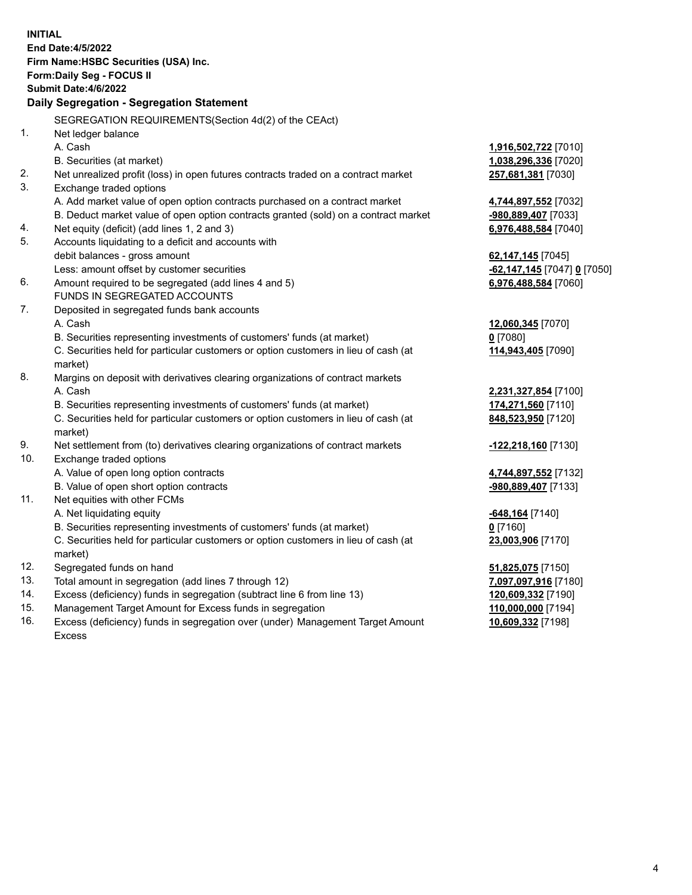|     | <b>INITIAL</b>                                                                                 |                             |
|-----|------------------------------------------------------------------------------------------------|-----------------------------|
|     | End Date: 4/5/2022                                                                             |                             |
|     | Firm Name: HSBC Securities (USA) Inc.                                                          |                             |
|     | <b>Form:Daily Seg - FOCUS II</b>                                                               |                             |
|     | <b>Submit Date:4/6/2022</b>                                                                    |                             |
|     | Daily Segregation - Segregation Statement                                                      |                             |
|     | SEGREGATION REQUIREMENTS (Section 4d(2) of the CEAct)                                          |                             |
| 1.  | Net ledger balance                                                                             |                             |
|     | A. Cash                                                                                        | 1,916,502,722 [7010]        |
|     | B. Securities (at market)                                                                      | 1,038,296,336 [7020]        |
| 2.  | Net unrealized profit (loss) in open futures contracts traded on a contract market             | 257,681,381 [7030]          |
| 3.  | Exchange traded options                                                                        |                             |
|     | A. Add market value of open option contracts purchased on a contract market                    | 4,744,897,552 [7032]        |
|     | B. Deduct market value of open option contracts granted (sold) on a contract market            | -980,889,407 [7033]         |
| 4.  | Net equity (deficit) (add lines 1, 2 and 3)                                                    | 6,976,488,584 [7040]        |
| 5.  | Accounts liquidating to a deficit and accounts with                                            |                             |
|     | debit balances - gross amount                                                                  | 62,147,145 [7045]           |
|     | Less: amount offset by customer securities                                                     | -62,147,145 [7047] 0 [7050] |
| 6.  | Amount required to be segregated (add lines 4 and 5)                                           | 6,976,488,584 [7060]        |
|     | FUNDS IN SEGREGATED ACCOUNTS                                                                   |                             |
| 7.  | Deposited in segregated funds bank accounts                                                    |                             |
|     | A. Cash                                                                                        | 12,060,345 [7070]           |
|     | B. Securities representing investments of customers' funds (at market)                         | $0$ [7080]                  |
|     | C. Securities held for particular customers or option customers in lieu of cash (at<br>market) | 114,943,405 [7090]          |
| 8.  | Margins on deposit with derivatives clearing organizations of contract markets                 |                             |
|     | A. Cash                                                                                        | 2,231,327,854 [7100]        |
|     | B. Securities representing investments of customers' funds (at market)                         | 174,271,560 [7110]          |
|     | C. Securities held for particular customers or option customers in lieu of cash (at            | 848,523,950 [7120]          |
|     | market)                                                                                        |                             |
| 9.  | Net settlement from (to) derivatives clearing organizations of contract markets                | -122,218,160 [7130]         |
| 10. | Exchange traded options                                                                        |                             |
|     | A. Value of open long option contracts                                                         | 4,744,897,552 [7132]        |
|     | B. Value of open short option contracts                                                        | -980,889,407 [7133]         |
| 11. | Net equities with other FCMs                                                                   |                             |
|     | A. Net liquidating equity                                                                      | <u>-648,164</u> [7140]      |
|     | B. Securities representing investments of customers' funds (at market)                         | $0$ [7160]                  |
|     | C. Securities held for particular customers or option customers in lieu of cash (at            | 23,003,906 [7170]           |
|     | market)                                                                                        |                             |
| 12. | Segregated funds on hand                                                                       | 51,825,075 [7150]           |
| 13. | Total amount in segregation (add lines 7 through 12)                                           | 7,097,097,916 [7180]        |
| 14. | Excess (deficiency) funds in segregation (subtract line 6 from line 13)                        | 120,609,332 [7190]          |
| 15. | Management Target Amount for Excess funds in segregation                                       | 110,000,000 [7194]          |

16. Excess (deficiency) funds in segregation over (under) Management Target Amount Excess

**10,609,332** [7198]